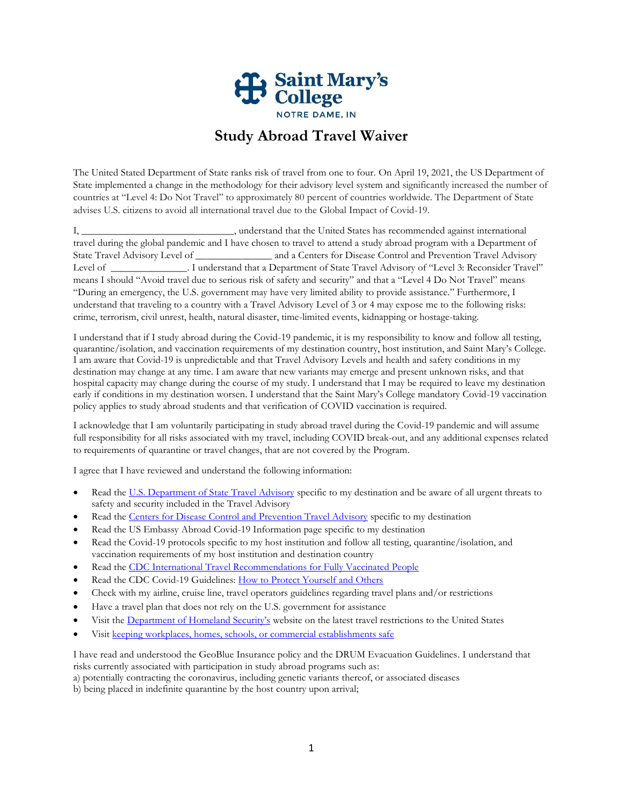

## **Study Abroad Travel Waiver**

The United Stated Department of State ranks risk of travel from one to four. On April 19, 2021, the US Department of State implemented a change in the methodology for their advisory level system and significantly increased the number of countries at "Level 4: Do Not Travel" to approximately 80 percent of countries worldwide. The Department of State advises U.S. citizens to avoid all international travel due to the Global Impact of Covid-19.

I, \_\_\_\_\_\_\_\_\_\_\_\_\_\_\_\_\_\_\_\_\_\_\_\_\_\_\_\_\_\_, understand that the United States has recommended against international travel during the global pandemic and I have chosen to travel to attend a study abroad program with a Department of State Travel Advisory Level of \_\_\_\_\_\_\_\_\_\_\_\_\_\_\_ and a Centers for Disease Control and Prevention Travel Advisory Level of \_\_\_\_\_\_\_\_\_\_\_\_\_\_\_. I understand that a Department of State Travel Advisory of "Level 3: Reconsider Travel" means I should "Avoid travel due to serious risk of safety and security" and that a "Level 4 Do Not Travel" means "During an emergency, the U.S. government may have very limited ability to provide assistance." Furthermore, I understand that traveling to a country with a Travel Advisory Level of 3 or 4 may expose me to the following risks: crime, terrorism, civil unrest, health, natural disaster, time-limited events, kidnapping or hostage-taking.

I understand that if I study abroad during the Covid-19 pandemic, it is my responsibility to know and follow all testing, quarantine/isolation, and vaccination requirements of my destination country, host institution, and Saint Mary's College. I am aware that Covid-19 is unpredictable and that Travel Advisory Levels and health and safety conditions in my destination may change at any time. I am aware that new variants may emerge and present unknown risks, and that hospital capacity may change during the course of my study. I understand that I may be required to leave my destination early if conditions in my destination worsen. I understand that the Saint Mary's College mandatory Covid-19 vaccination policy applies to study abroad students and that verification of COVID vaccination is required.

I acknowledge that I am voluntarily participating in study abroad travel during the Covid-19 pandemic and will assume full responsibility for all risks associated with my travel, including COVID break-out, and any additional expenses related to requirements of quarantine or travel changes, that are not covered by the Program.

I agree that I have reviewed and understand the following information:

- Read th[e U.S. Department of State Travel Advisory](https://travel.state.gov/content/travel/en/traveladvisories/traveladvisories.html/) specific to my destination and be aware of all urgent threats to safety and security included in the Travel Advisory
- Read th[e Centers for Disease Control and Prevention Travel Advisory](https://www.cdc.gov/coronavirus/2019-ncov/travelers/map-and-travel-notices.html) specific to my destination
- Read the US Embassy Abroad Covid-19 Information page specific to my destination
- Read the Covid-19 protocols specific to my host institution and follow all testing, quarantine/isolation, and vaccination requirements of my host institution and destination country
- Read th[e CDC International Travel Recommendations for Fully Vaccinated People](https://www.cdc.gov/coronavirus/2019-ncov/travelers/international-travel-during-covid19.html)
- Read the CDC Covid-19 Guidelines: [How to Protect Yourself and Others](https://www.cdc.gov/coronavirus/2019-ncov/prevent-getting-sick/prevention.html)
- Check with my airline, cruise line, travel operators guidelines regarding travel plans and/or restrictions
- Have a travel plan that does not rely on the U.S. government for assistance
- Visit the [Department of Homeland Security's](https://www.dhs.gov/coronavirus) website on the latest travel restrictions to the United States
- Visit [keeping workplaces, homes, schools, or commercial establishments safe](https://www.cdc.gov/coronavirus/2019-ncov/downloads/workplace-school-and-home-guidance.pdf)

I have read and understood the GeoBlue Insurance policy and the DRUM Evacuation Guidelines. I understand that risks currently associated with participation in study abroad programs such as:

a) potentially contracting the coronavirus, including genetic variants thereof, or associated diseases

b) being placed in indefinite quarantine by the host country upon arrival;